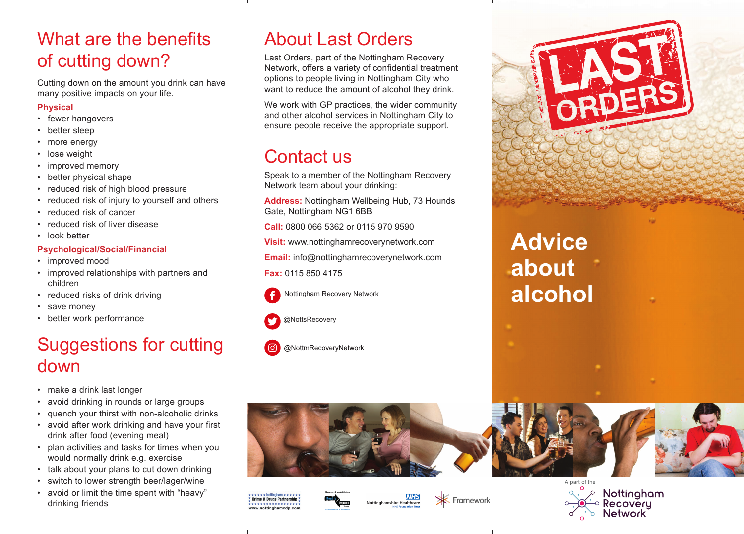## What are the benefits of cutting down?

Cutting down on the amount you drink can have many positive impacts on your life.

#### **Physical**

- fewer hangovers
- better sleep
- more energy
- lose weight
- improved memory
- better physical shape
- reduced risk of high blood pressure
- reduced risk of injury to yourself and others
- reduced risk of cancer
- reduced risk of liver disease
- look better

#### **Psychological/Social/Financial**

- improved mood
- improved relationships with partners and children
- reduced risks of drink driving
- save money
- better work performance

## Suggestions for cutting down

- make a drink last longer
- avoid drinking in rounds or large groups
- quench your thirst with non-alcoholic drinks
- avoid after work drinking and have your first drink after food (evening meal)
- plan activities and tasks for times when you would normally drink e.g. exercise
- talk about your plans to cut down drinking
- switch to lower strength beer/lager/wine
- avoid or limit the time spent with "heavy" drinking friends

## About Last Orders

Last Orders, part of the Nottingham Recovery Network, offers a variety of confidential treatment options to people living in Nottingham City who want to reduce the amount of alcohol they drink.

We work with GP practices, the wider community and other alcohol services in Nottingham City to ensure people receive the appropriate support.

# Contact us

Speak to a member of the Nottingham Recovery Network team about your drinking:

**Address:** Nottingham Wellbeing Hub, 73 Hounds Gate, Nottingham NG1 6BB

**Call:** 0800 066 5362 or 0115 970 9590

**Visit:** www.nottinghamrecoverynetwork.com

**Email:** info@nottinghamrecoverynetwork.com

#### **Fax:** 0115 850 4175



Nottingham Recovery Network











**NHS** 

**X** Framework





**Advice about alcohol**